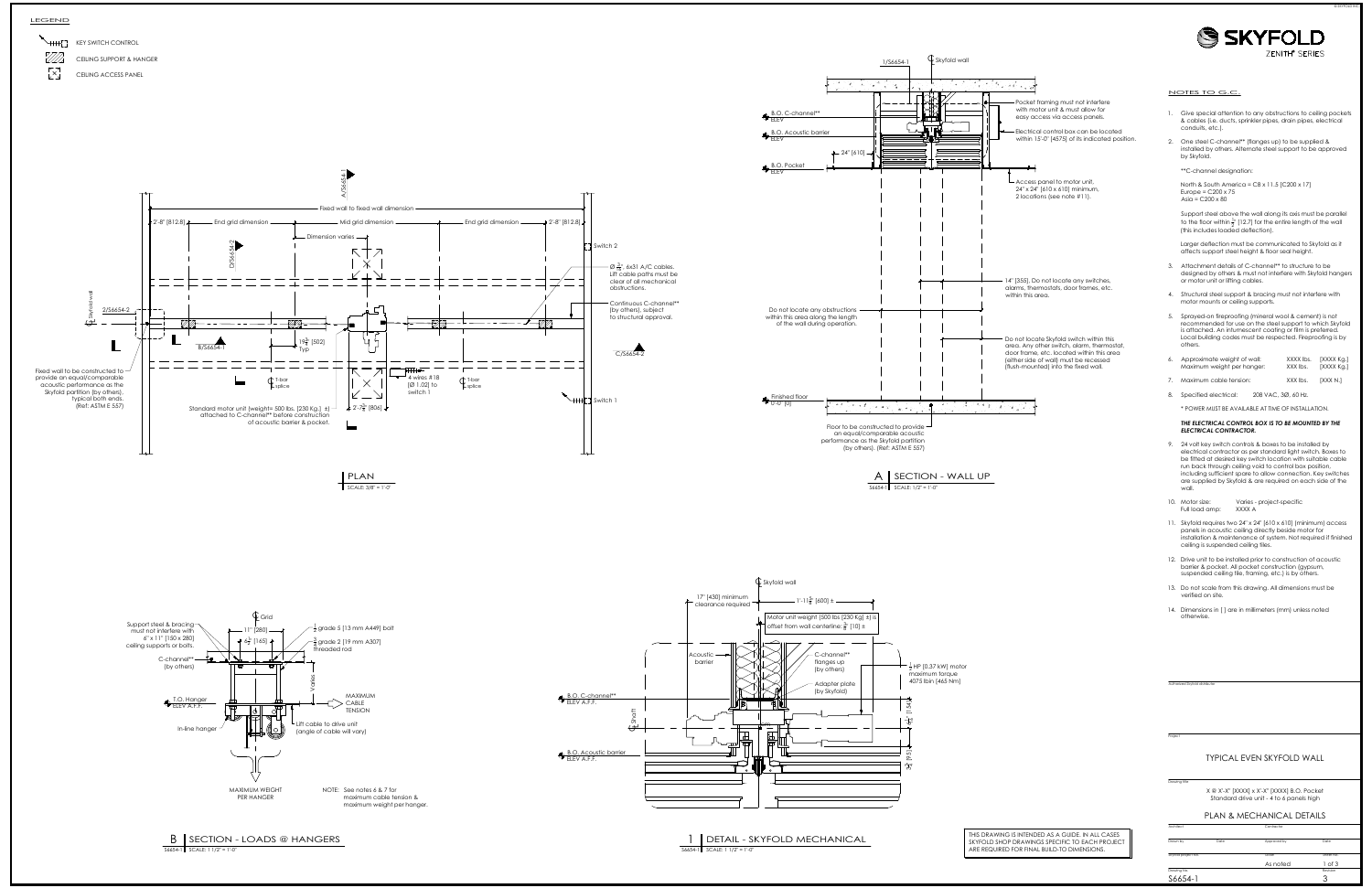







- 
- 

- 
- 
- 
- 
- 
- 

- 
- 

- 
- 
- 
- 

Drawing Illie<br>
Drawing Illie<br>
X @ X'-X" [XXXX] x X'-X" [XXXX] B.O. Pocket<br>
Standard drive unit - 4 to 6 panels high<br>
PLAN & MECHANICAL DETAILS<br>
Contractor<br>
Contractor Contractor<br>
As noted 1 of 3 of 3 of 3 of 3 of 3 of 3 of